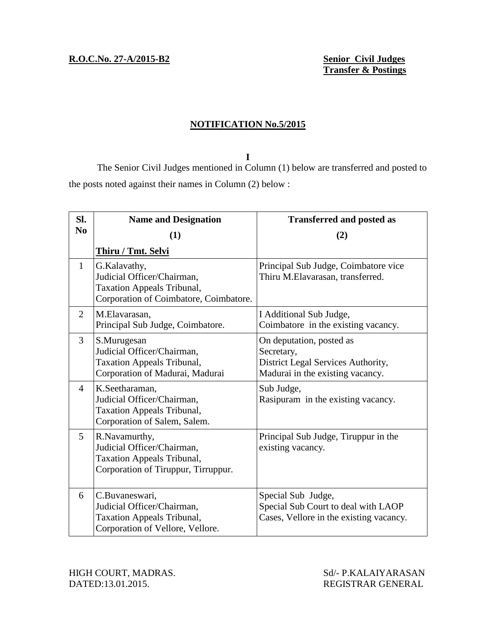## **NOTIFICATION No.5/2015**

**I** The Senior Civil Judges mentioned in Column (1) below are transferred and posted to the posts noted against their names in Column (2) below :

| Sl.            | <b>Name and Designation</b>                                                                                               | <b>Transferred and posted as</b>                                                                                 |
|----------------|---------------------------------------------------------------------------------------------------------------------------|------------------------------------------------------------------------------------------------------------------|
| N <sub>0</sub> | (1)                                                                                                                       | (2)                                                                                                              |
|                | <b>Thiru / Tmt. Selvi</b>                                                                                                 |                                                                                                                  |
| $\mathbf{1}$   | G.Kalavathy,<br>Judicial Officer/Chairman,<br><b>Taxation Appeals Tribunal,</b><br>Corporation of Coimbatore, Coimbatore. | Principal Sub Judge, Coimbatore vice<br>Thiru M.Elavarasan, transferred.                                         |
| $\overline{2}$ | M.Elavarasan,<br>Principal Sub Judge, Coimbatore.                                                                         | I Additional Sub Judge,<br>Coimbatore in the existing vacancy.                                                   |
| 3              | S.Murugesan<br>Judicial Officer/Chairman,<br><b>Taxation Appeals Tribunal,</b><br>Corporation of Madurai, Madurai         | On deputation, posted as<br>Secretary,<br>District Legal Services Authority,<br>Madurai in the existing vacancy. |
| $\overline{4}$ | K.Seetharaman,<br>Judicial Officer/Chairman,<br><b>Taxation Appeals Tribunal,</b><br>Corporation of Salem, Salem.         | Sub Judge,<br>Rasipuram in the existing vacancy.                                                                 |
| 5              | R.Navamurthy,<br>Judicial Officer/Chairman,<br><b>Taxation Appeals Tribunal,</b><br>Corporation of Tiruppur, Tirruppur.   | Principal Sub Judge, Tiruppur in the<br>existing vacancy.                                                        |
| 6              | C.Buvaneswari,<br>Judicial Officer/Chairman,<br><b>Taxation Appeals Tribunal,</b><br>Corporation of Vellore, Vellore.     | Special Sub Judge,<br>Special Sub Court to deal with LAOP<br>Cases, Vellore in the existing vacancy.             |

HIGH COURT, MADRAS. Sd/- P.KALAIYARASAN DATED:13.01.2015. REGISTRAR GENERAL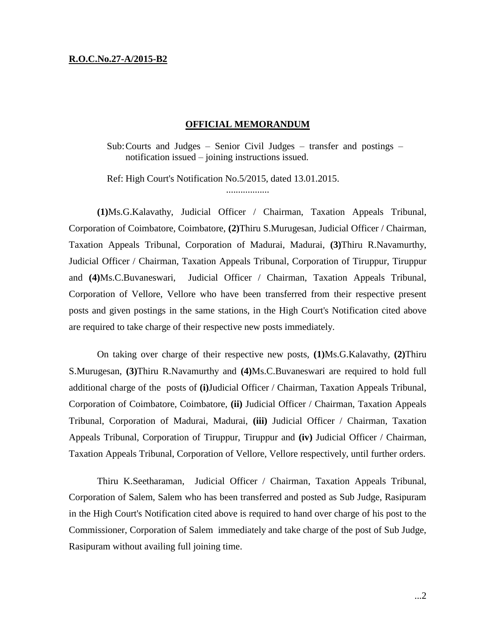## **R.O.C.No.27-A/2015-B2**

## **OFFICIAL MEMORANDUM**

..................

Sub:Courts and Judges – Senior Civil Judges – transfer and postings – notification issued – joining instructions issued.

Ref: High Court's Notification No.5/2015, dated 13.01.2015.

**(1)**Ms.G.Kalavathy, Judicial Officer / Chairman, Taxation Appeals Tribunal, Corporation of Coimbatore, Coimbatore, **(2)**Thiru S.Murugesan, Judicial Officer / Chairman, Taxation Appeals Tribunal, Corporation of Madurai, Madurai, **(3)**Thiru R.Navamurthy, Judicial Officer / Chairman, Taxation Appeals Tribunal, Corporation of Tiruppur, Tiruppur and **(4)**Ms.C.Buvaneswari, Judicial Officer / Chairman, Taxation Appeals Tribunal, Corporation of Vellore, Vellore who have been transferred from their respective present posts and given postings in the same stations, in the High Court's Notification cited above are required to take charge of their respective new posts immediately.

On taking over charge of their respective new posts, **(1)**Ms.G.Kalavathy, **(2)**Thiru S.Murugesan, **(3)**Thiru R.Navamurthy and **(4)**Ms.C.Buvaneswari are required to hold full additional charge of the posts of **(i)**Judicial Officer / Chairman, Taxation Appeals Tribunal, Corporation of Coimbatore, Coimbatore, **(ii)** Judicial Officer / Chairman, Taxation Appeals Tribunal, Corporation of Madurai, Madurai, **(iii)** Judicial Officer / Chairman, Taxation Appeals Tribunal, Corporation of Tiruppur, Tiruppur and **(iv)** Judicial Officer / Chairman, Taxation Appeals Tribunal, Corporation of Vellore, Vellore respectively, until further orders.

Thiru K.Seetharaman, Judicial Officer / Chairman, Taxation Appeals Tribunal, Corporation of Salem, Salem who has been transferred and posted as Sub Judge, Rasipuram in the High Court's Notification cited above is required to hand over charge of his post to the Commissioner, Corporation of Salem immediately and take charge of the post of Sub Judge, Rasipuram without availing full joining time.